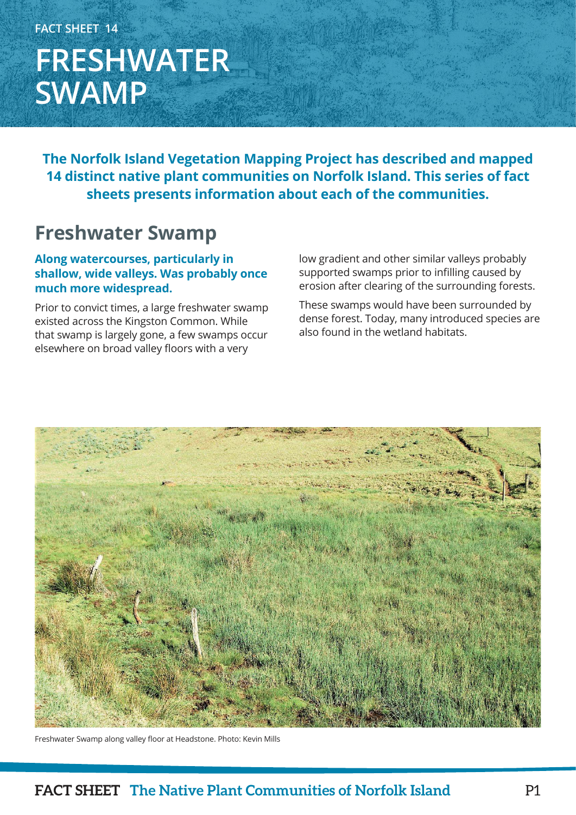## **FACT SHEET 14 FRESHWATER SWAMP**

**The Norfolk Island Vegetation Mapping Project has described and mapped 14 distinct native plant communities on Norfolk Island. This series of fact sheets presents information about each of the communities.**

### **Freshwater Swamp**

#### **Along watercourses, particularly in shallow, wide valleys. Was probably once much more widespread.**

Prior to convict times, a large freshwater swamp existed across the Kingston Common. While that swamp is largely gone, a few swamps occur elsewhere on broad valley floors with a very

low gradient and other similar valleys probably supported swamps prior to infilling caused by erosion after clearing of the surrounding forests.

These swamps would have been surrounded by dense forest. Today, many introduced species are also found in the wetland habitats.



Freshwater Swamp along valley floor at Headstone. Photo: Kevin Mills